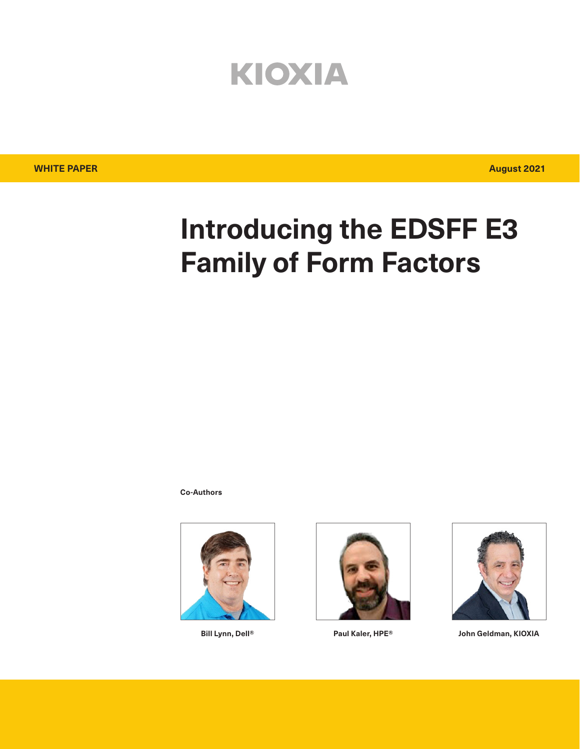# KIOXIA

# **Introducing the EDSFF E3 Family of Form Factors**

**Co-Authors**







**Bill Lynn, Dell® Paul Kaler, HPE® John Geldman, KIOXIA**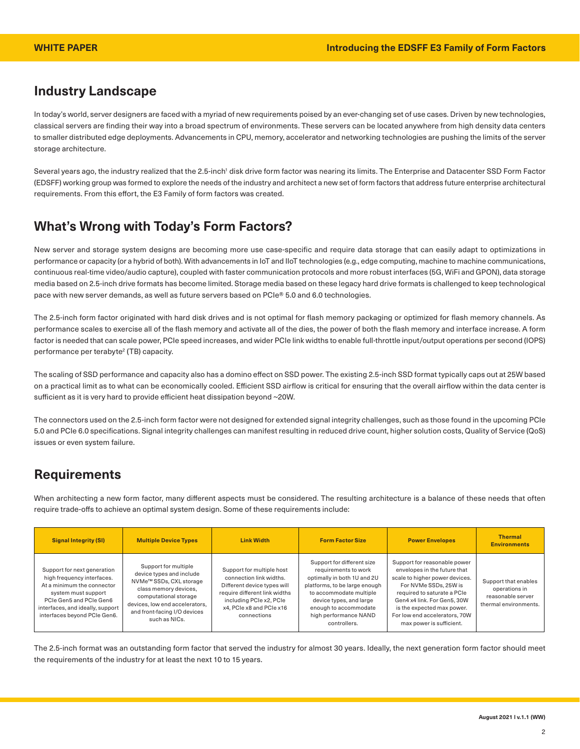## **Industry Landscape**

In today's world, server designers are faced with a myriad of new requirements poised by an ever-changing set of use cases. Driven by new technologies, classical servers are finding their way into a broad spectrum of environments. These servers can be located anywhere from high density data centers to smaller distributed edge deployments. Advancements in CPU, memory, accelerator and networking technologies are pushing the limits of the server storage architecture.

Several years ago, the industry realized that the 2.5-inch<sup>1</sup> disk drive form factor was nearing its limits. The Enterprise and Datacenter SSD Form Factor (EDSFF) working group was formed to explore the needs of the industry and architect a new set of form factors that address future enterprise architectural requirements. From this effort, the E3 Family of form factors was created.

### **What's Wrong with Today's Form Factors?**

New server and storage system designs are becoming more use case-specific and require data storage that can easily adapt to optimizations in performance or capacity (or a hybrid of both). With advancements in IoT and IIoT technologies (e.g., edge computing, machine to machine communications, continuous real-time video/audio capture), coupled with faster communication protocols and more robust interfaces (5G, WiFi and GPON), data storage media based on 2.5-inch drive formats has become limited. Storage media based on these legacy hard drive formats is challenged to keep technological pace with new server demands, as well as future servers based on PCIe® 5.0 and 6.0 technologies.

The 2.5-inch form factor originated with hard disk drives and is not optimal for flash memory packaging or optimized for flash memory channels. As performance scales to exercise all of the flash memory and activate all of the dies, the power of both the flash memory and interface increase. A form factor is needed that can scale power, PCIe speed increases, and wider PCIe link widths to enable full-throttle input/output operations per second (IOPS) performance per terabyte<sup>2</sup> (TB) capacity.

The scaling of SSD performance and capacity also has a domino effect on SSD power. The existing 2.5-inch SSD format typically caps out at 25W based on a practical limit as to what can be economically cooled. Efficient SSD airflow is critical for ensuring that the overall airflow within the data center is sufficient as it is very hard to provide efficient heat dissipation beyond ~20W.

The connectors used on the 2.5-inch form factor were not designed for extended signal integrity challenges, such as those found in the upcoming PCIe 5.0 and PCIe 6.0 specifications. Signal integrity challenges can manifest resulting in reduced drive count, higher solution costs, Quality of Service (QoS) issues or even system failure.

## **Requirements**

When architecting a new form factor, many different aspects must be considered. The resulting architecture is a balance of these needs that often require trade-offs to achieve an optimal system design. Some of these requirements include:

| <b>Signal Integrity (SI)</b>                                                                                                                                                                                  | <b>Multiple Device Types</b>                                                                                                                                                                                                 | <b>Link Width</b>                                                                                                                                                                          | <b>Form Factor Size</b>                                                                                                                                                                                                                    | <b>Power Envelopes</b>                                                                                                                                                                                                                                                           | <b>Thermal</b><br><b>Environments</b>                                               |
|---------------------------------------------------------------------------------------------------------------------------------------------------------------------------------------------------------------|------------------------------------------------------------------------------------------------------------------------------------------------------------------------------------------------------------------------------|--------------------------------------------------------------------------------------------------------------------------------------------------------------------------------------------|--------------------------------------------------------------------------------------------------------------------------------------------------------------------------------------------------------------------------------------------|----------------------------------------------------------------------------------------------------------------------------------------------------------------------------------------------------------------------------------------------------------------------------------|-------------------------------------------------------------------------------------|
| Support for next generation<br>high frequency interfaces.<br>At a minimum the connector<br>system must support<br>PCIe Gen5 and PCIe Gen6<br>interfaces, and ideally, support<br>interfaces beyond PCIe Gen6. | Support for multiple<br>device types and include<br>NVMe <sup>™</sup> SSDs, CXL storage<br>class memory devices,<br>computational storage<br>devices, low end accelerators,<br>and front-facing I/O devices<br>such as NICs. | Support for multiple host<br>connection link widths.<br>Different device types will<br>require different link widths<br>including PCIe x2, PCIe<br>x4, PCle x8 and PCle x16<br>connections | Support for different size<br>requirements to work<br>optimally in both 1U and 2U<br>platforms, to be large enough<br>to accommodate multiple<br>device types, and large<br>enough to accommodate<br>high performance NAND<br>controllers. | Support for reasonable power<br>envelopes in the future that<br>scale to higher power devices.<br>For NVMe SSDs, 25W is<br>required to saturate a PCIe<br>Gen4 x4 link, For Gen5, 30W<br>is the expected max power.<br>For low end accelerators, 70W<br>max power is sufficient. | Support that enables<br>operations in<br>reasonable server<br>thermal environments. |

The 2.5-inch format was an outstanding form factor that served the industry for almost 30 years. Ideally, the next generation form factor should meet the requirements of the industry for at least the next 10 to 15 years.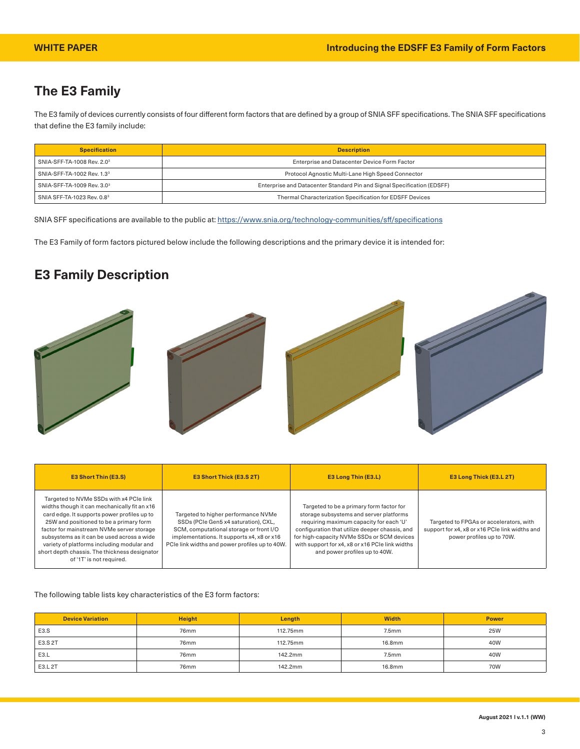## **The E3 Family**

The E3 family of devices currently consists of four different form factors that are defined by a group of SNIA SFF specifications. The SNIA SFF specifications that define the E3 family include:

| <b>Specification</b>                   | <b>Description</b>                                                      |
|----------------------------------------|-------------------------------------------------------------------------|
| SNIA-SFF-TA-1008 Rev. 2.0 <sup>3</sup> | Enterprise and Datacenter Device Form Factor                            |
| SNIA-SFF-TA-1002 Rev. 1.3 <sup>3</sup> | Protocol Agnostic Multi-Lane High Speed Connector                       |
| SNIA-SFF-TA-1009 Rev. 3.03             | Enterprise and Datacenter Standard Pin and Signal Specification (EDSFF) |
| SNIA SFF-TA-1023 Rev. 0.8 <sup>3</sup> | Thermal Characterization Specification for EDSFF Devices                |

SNIA SFF specifications are available to the public at: <https://www.snia.org/technology-communities/sff/specifications>

The E3 Family of form factors pictured below include the following descriptions and the primary device it is intended for:

## **E3 Family Description**



| <b>E3 Short Thin (E3.S)</b>                                                                                                                                                                                                                                                                                                                                                                             | <b>E3 Short Thick (E3.S 2T)</b>                                                                                                                                                                                        | E3 Long Thin (E3.L)                                                                                                                                                                                                                                                                                                | E3 Long Thick (E3.L 2T)                                                                                                |
|---------------------------------------------------------------------------------------------------------------------------------------------------------------------------------------------------------------------------------------------------------------------------------------------------------------------------------------------------------------------------------------------------------|------------------------------------------------------------------------------------------------------------------------------------------------------------------------------------------------------------------------|--------------------------------------------------------------------------------------------------------------------------------------------------------------------------------------------------------------------------------------------------------------------------------------------------------------------|------------------------------------------------------------------------------------------------------------------------|
| Targeted to NVMe SSDs with x4 PCIe link<br>widths though it can mechanically fit an x16<br>card edge. It supports power profiles up to<br>25W and positioned to be a primary form<br>factor for mainstream NVMe server storage<br>subsystems as it can be used across a wide<br>variety of platforms including modular and<br>short depth chassis. The thickness designator<br>of '1T' is not required. | Targeted to higher performance NVMe<br>SSDs (PCIe Gen5 x4 saturation), CXL,<br>SCM, computational storage or front I/O<br>implementations. It supports x4, x8 or x16<br>PCIe link widths and power profiles up to 40W. | Targeted to be a primary form factor for<br>storage subsystems and server platforms<br>requiring maximum capacity for each 'U'<br>configuration that utilize deeper chassis, and<br>for high-capacity NVMe SSDs or SCM devices<br>with support for x4, x8 or x16 PCIe link widths<br>and power profiles up to 40W. | Targeted to FPGAs or accelerators, with<br>support for x4, x8 or x16 PCIe link widths and<br>power profiles up to 70W. |

#### The following table lists key characteristics of the E3 form factors:

| <b>Device Variation</b> | <b>Height</b> | Length   | <b>Width</b>      | <b>Power</b> |
|-------------------------|---------------|----------|-------------------|--------------|
| E3.S                    | 76mm          | 112.75mm | 7.5 <sub>mm</sub> | <b>25W</b>   |
| E3.S 2T                 | 76mm          | 112.75mm | 16.8mm            | 40W          |
| E3.L                    | 76mm          | 142.2mm  | 7.5 <sub>mm</sub> | 40W          |
| E3.L 2T                 | 76mm          | 142.2mm  | 16.8mm            | 70W          |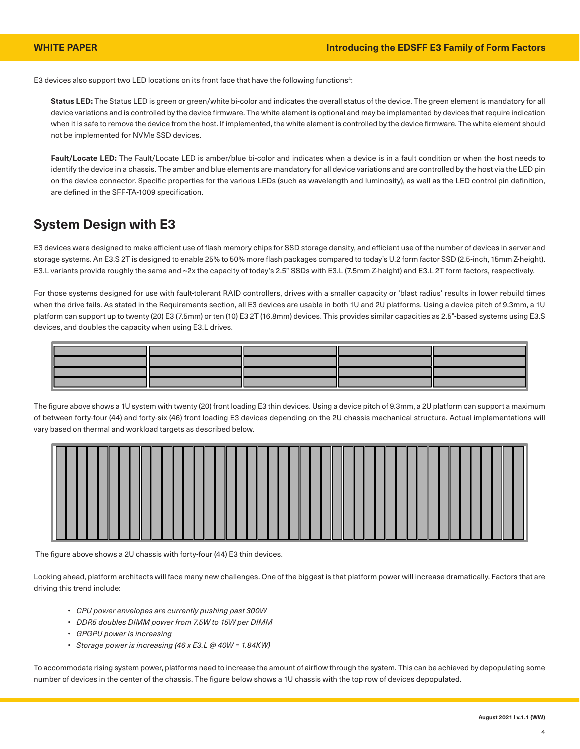E3 devices also support two LED locations on its front face that have the following functions<sup>4</sup>:

**Status LED:** The Status LED is green or green/white bi-color and indicates the overall status of the device. The green element is mandatory for all device variations and is controlled by the device firmware. The white element is optional and may be implemented by devices that require indication when it is safe to remove the device from the host. If implemented, the white element is controlled by the device firmware. The white element should not be implemented for NVMe SSD devices.

Fault/Locate LED: The Fault/Locate LED is amber/blue bi-color and indicates when a device is in a fault condition or when the host needs to identify the device in a chassis. The amber and blue elements are mandatory for all device variations and are controlled by the host via the LED pin on the device connector. Specific properties for the various LEDs (such as wavelength and luminosity), as well as the LED control pin definition, are defined in the SFF-TA-1009 specification.

### **System Design with E3**

E3 devices were designed to make efficient use of flash memory chips for SSD storage density, and efficient use of the number of devices in server and storage systems. An E3.S 2T is designed to enable 25% to 50% more flash packages compared to today's U.2 form factor SSD (2.5-inch, 15mm Z-height). E3.L variants provide roughly the same and ~2x the capacity of today's 2.5" SSDs with E3.L (7.5mm Z-height) and E3.L 2T form factors, respectively.

For those systems designed for use with fault-tolerant RAID controllers, drives with a smaller capacity or 'blast radius' results in lower rebuild times when the drive fails. As stated in the Requirements section, all E3 devices are usable in both 1U and 2U platforms. Using a device pitch of 9.3mm, a 1U platform can support up to twenty (20) E3 (7.5mm) or ten (10) E3 2T (16.8mm) devices. This provides similar capacities as 2.5"-based systems using E3.S devices, and doubles the capacity when using E3.L drives.



The figure above shows a 1U system with twenty (20) front loading E3 thin devices. Using a device pitch of 9.3mm, a 2U platform can support a maximum of between forty-four (44) and forty-six (46) front loading E3 devices depending on the 2U chassis mechanical structure. Actual implementations will vary based on thermal and workload targets as described below.



The figure above shows a 2U chassis with forty-four (44) E3 thin devices.

Looking ahead, platform architects will face many new challenges. One of the biggest is that platform power will increase dramatically. Factors that are driving this trend include:

- *• CPU power envelopes are currently pushing past 300W*
- *• DDR5 doubles DIMM power from 7.5W to 15W per DIMM*
- *• GPGPU power is increasing*
- *• Storage power is increasing (46 x E3.L @ 40W = 1.84KW)*

To accommodate rising system power, platforms need to increase the amount of airflow through the system. This can be achieved by depopulating some number of devices in the center of the chassis. The figure below shows a 1U chassis with the top row of devices depopulated.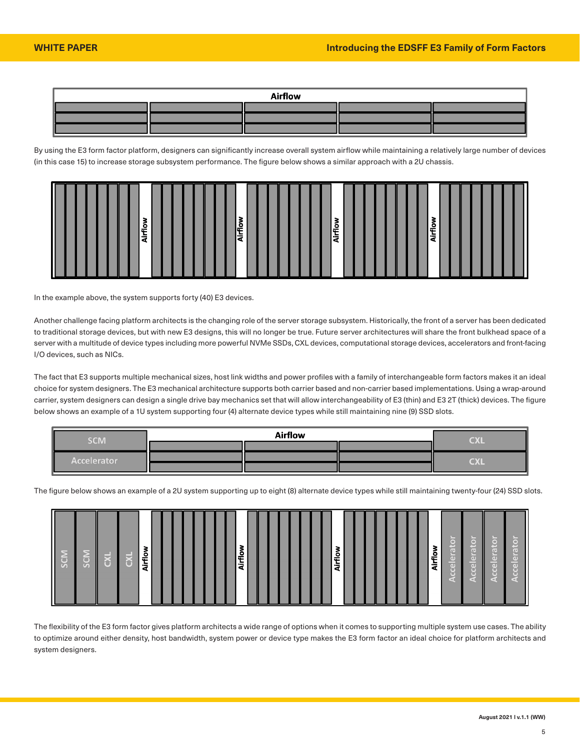

By using the E3 form factor platform, designers can significantly increase overall system airflow while maintaining a relatively large number of devices (in this case 15) to increase storage subsystem performance. The figure below shows a similar approach with a 2U chassis.



In the example above, the system supports forty (40) E3 devices.

Another challenge facing platform architects is the changing role of the server storage subsystem. Historically, the front of a server has been dedicated to traditional storage devices, but with new E3 designs, this will no longer be true. Future server architectures will share the front bulkhead space of a server with a multitude of device types including more powerful NVMe SSDs, CXL devices, computational storage devices, accelerators and front-facing I/O devices, such as NICs.

The fact that E3 supports multiple mechanical sizes, host link widths and power profiles with a family of interchangeable form factors makes it an ideal choice for system designers. The E3 mechanical architecture supports both carrier based and non-carrier based implementations. Using a wrap-around carrier, system designers can design a single drive bay mechanics set that will allow interchangeability of E3 (thin) and E3 2T (thick) devices. The figure below shows an example of a 1U system supporting four (4) alternate device types while still maintaining nine (9) SSD slots.

| <b>SCM</b>         | <b>Airflow</b> |  |  | <b>CXL</b> |  |
|--------------------|----------------|--|--|------------|--|
|                    |                |  |  |            |  |
| <b>Accelerator</b> |                |  |  | <b>CXL</b> |  |
|                    |                |  |  |            |  |

The figure below shows an example of a 2U system supporting up to eight (8) alternate device types while still maintaining twenty-four (24) SSD slots.

| $\overline{\mathsf{K}}$<br>16<br>r<br><b>TO</b><br><b>O</b><br>ှေ<br>__ | o<br>w.<br>÷<br>à | о<br>-<br><b>.</b><br>ÆT | o<br>ᇎ<br>œ | о<br>ţ<br>æ | ľΦ<br>present<br>$\cdots$<br>(a)<br>a o'l<br>$\omega$<br>o<br>=<br>$\sim$<br>тīП<br>ลภ<br>$-1$<br>$-1$ | ⊢−<br>œ<br><b>Tel</b><br><b>The Contract of the Contract of the Contract of the Contract of the Contract of the Contract of the Contract of the Contract of the Contract of The Contract of The Contract of The Contract of The Contract of The Contract </b><br><b>THE 1999</b><br>(10)<br>[00]<br>Œ<br>ᆖ<br>пD<br>Œ<br><b>TEND</b><br>$-1$ |
|-------------------------------------------------------------------------|-------------------|--------------------------|-------------|-------------|--------------------------------------------------------------------------------------------------------|----------------------------------------------------------------------------------------------------------------------------------------------------------------------------------------------------------------------------------------------------------------------------------------------------------------------------------------------|
|-------------------------------------------------------------------------|-------------------|--------------------------|-------------|-------------|--------------------------------------------------------------------------------------------------------|----------------------------------------------------------------------------------------------------------------------------------------------------------------------------------------------------------------------------------------------------------------------------------------------------------------------------------------------|

The flexibility of the E3 form factor gives platform architects a wide range of options when it comes to supporting multiple system use cases. The ability to optimize around either density, host bandwidth, system power or device type makes the E3 form factor an ideal choice for platform architects and system designers.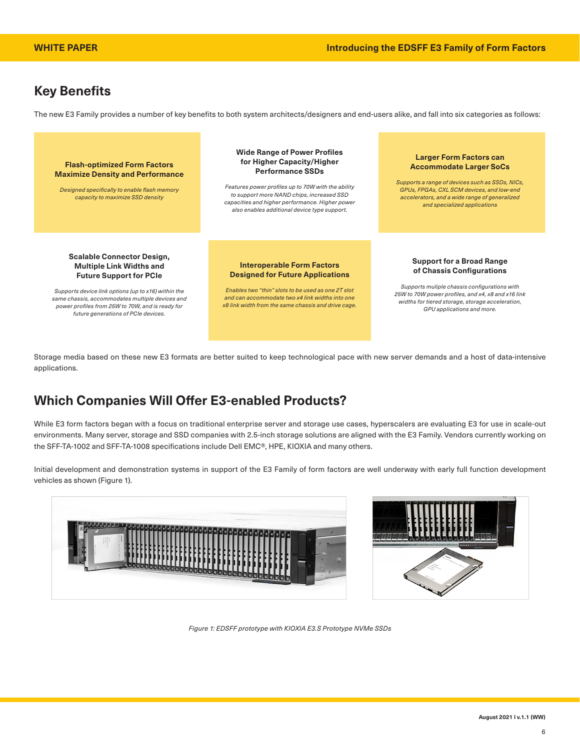# **Key Benefits**

The new E3 Family provides a number of key benefits to both system architects/designers and end-users alike, and fall into six categories as follows:



Storage media based on these new E3 formats are better suited to keep technological pace with new server demands and a host of data-intensive applications.

## **Which Companies Will Offer E3-enabled Products?**

While E3 form factors began with a focus on traditional enterprise server and storage use cases, hyperscalers are evaluating E3 for use in scale-out environments. Many server, storage and SSD companies with 2.5-inch storage solutions are aligned with the E3 Family. Vendors currently working on the SFF-TA-1002 and SFF-TA-1008 specifications include Dell EMC®, HPE, KIOXIA and many others.

Initial development and demonstration systems in support of the E3 Family of form factors are well underway with early full function development vehicles as shown (Figure 1).





*Figure 1: EDSFF prototype with KIOXIA E3.S Prototype NVMe SSDs*